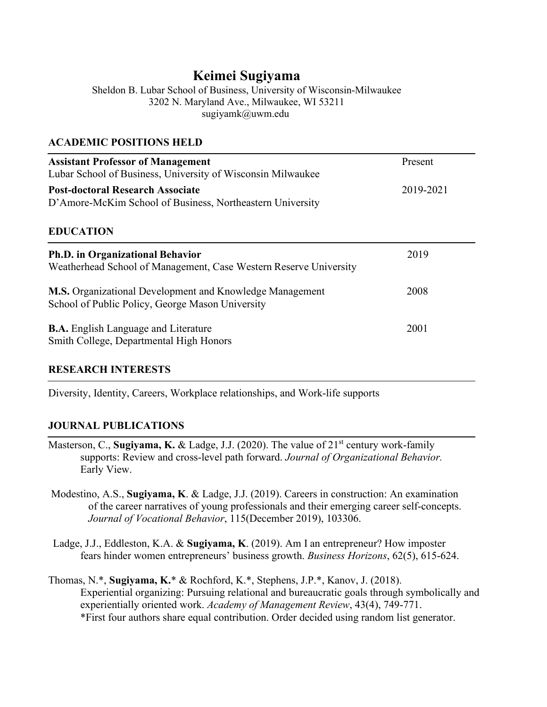# **Keimei Sugiyama**

Sheldon B. Lubar School of Business, University of Wisconsin-Milwaukee 3202 N. Maryland Ave., Milwaukee, WI 53211 sugiyamk@uwm.edu

### **ACADEMIC POSITIONS HELD**

| <b>Assistant Professor of Management</b><br>Lubar School of Business, University of Wisconsin Milwaukee      | Present   |
|--------------------------------------------------------------------------------------------------------------|-----------|
| <b>Post-doctoral Research Associate</b><br>D'Amore-McKim School of Business, Northeastern University         | 2019-2021 |
| <b>EDUCATION</b>                                                                                             |           |
| <b>Ph.D. in Organizational Behavior</b><br>Weatherhead School of Management, Case Western Reserve University | 2019      |
| M.S. Organizational Development and Knowledge Management<br>School of Public Policy, George Mason University | 2008      |
| <b>B.A.</b> English Language and Literature<br>Smith College, Departmental High Honors                       | 2001      |

# **RESEARCH INTERESTS**

Diversity, Identity, Careers, Workplace relationships, and Work-life supports

# **JOURNAL PUBLICATIONS**

- Masterson, C., **Sugiyama, K.** & Ladge, J.J. (2020). The value of 21<sup>st</sup> century work-family supports: Review and cross-level path forward. *Journal of Organizational Behavior.* Early View.
- Modestino, A.S., **Sugiyama, K**. & Ladge, J.J. (2019). Careers in construction: An examination of the career narratives of young professionals and their emerging career self-concepts. *Journal of Vocational Behavior*, 115(December 2019), 103306.
- Ladge, J.J., Eddleston, K.A. & **Sugiyama, K**. (2019). Am I an entrepreneur? How imposter fears hinder women entrepreneurs' business growth. *Business Horizons*, 62(5), 615-624.
- Thomas, N.\*, **Sugiyama, K.**\* & Rochford, K.\*, Stephens, J.P.\*, Kanov, J. (2018). Experiential organizing: Pursuing relational and bureaucratic goals through symbolically and experientially oriented work. *Academy of Management Review*, 43(4), 749-771. \*First four authors share equal contribution. Order decided using random list generator.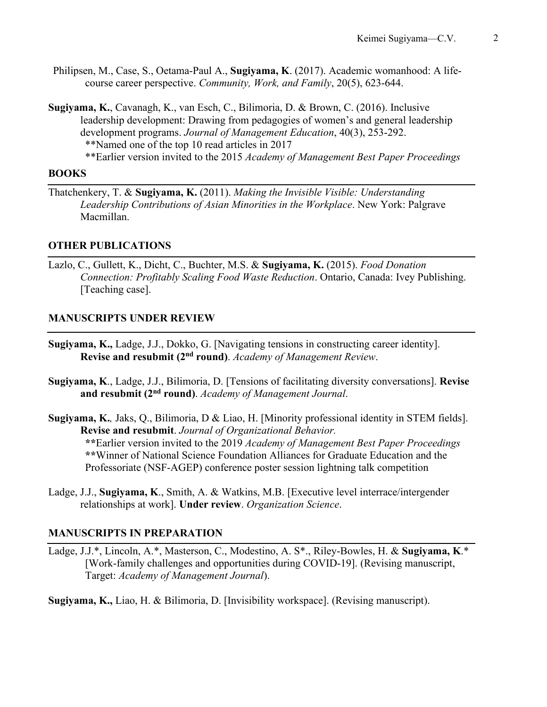- Philipsen, M., Case, S., Oetama-Paul A., **Sugiyama, K**. (2017). Academic womanhood: A lifecourse career perspective. *Community, Work, and Family*, 20(5), 623-644.
- **Sugiyama, K.**, Cavanagh, K., van Esch, C., Bilimoria, D. & Brown, C. (2016). Inclusive leadership development: Drawing from pedagogies of women's and general leadership development programs. *Journal of Management Education*, 40(3), 253-292. \*\*Named one of the top 10 read articles in 2017

\*\*Earlier version invited to the 2015 *Academy of Management Best Paper Proceedings*

### **BOOKS**

Thatchenkery, T. & **Sugiyama, K.** (2011). *Making the Invisible Visible: Understanding Leadership Contributions of Asian Minorities in the Workplace*. New York: Palgrave Macmillan.

### **OTHER PUBLICATIONS**

Lazlo, C., Gullett, K., Dicht, C., Buchter, M.S. & **Sugiyama, K.** (2015). *Food Donation Connection: Profitably Scaling Food Waste Reduction*. Ontario, Canada: Ivey Publishing. [Teaching case].

### **MANUSCRIPTS UNDER REVIEW**

- **Sugiyama, K.,** Ladge, J.J., Dokko, G. [Navigating tensions in constructing career identity]. **Revise and resubmit (2nd round)**. *Academy of Management Review*.
- **Sugiyama, K**., Ladge, J.J., Bilimoria, D. [Tensions of facilitating diversity conversations]. **Revise and resubmit (2nd round)**. *Academy of Management Journal*.
- **Sugiyama, K.***,* Jaks, Q., Bilimoria, D & Liao, H. [Minority professional identity in STEM fields]. **Revise and resubmit**. *Journal of Organizational Behavior.* **\*\***Earlier version invited to the 2019 *Academy of Management Best Paper Proceedings* **\*\***Winner of National Science Foundation Alliances for Graduate Education and the Professoriate (NSF-AGEP) conference poster session lightning talk competition
- Ladge, J.J., **Sugiyama, K**., Smith, A. & Watkins, M.B. [Executive level interrace/intergender relationships at work]. **Under review**. *Organization Science*.

# **MANUSCRIPTS IN PREPARATION**

Ladge, J.J.\*, Lincoln, A.\*, Masterson, C., Modestino, A. S\*., Riley-Bowles, H. & **Sugiyama, K**.\* [Work-family challenges and opportunities during COVID-19]. (Revising manuscript, Target: *Academy of Management Journal*).

**Sugiyama, K.,** Liao, H. & Bilimoria, D. [Invisibility workspace]. (Revising manuscript).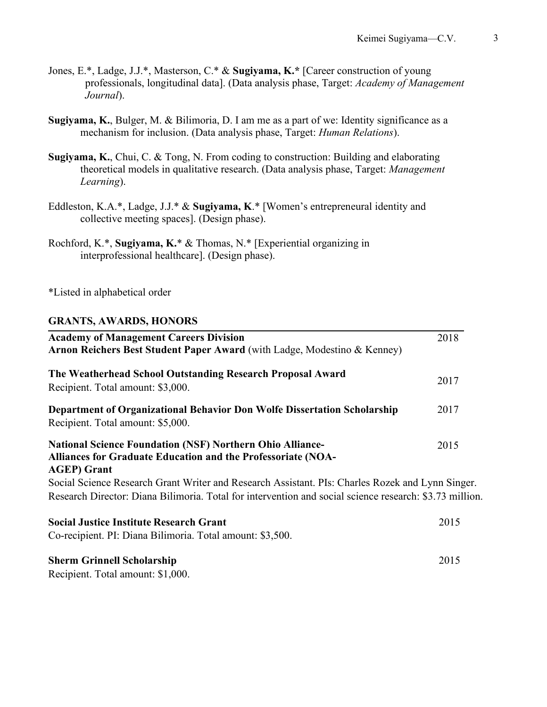- Jones, E.\*, Ladge, J.J.\*, Masterson, C.\* & **Sugiyama, K.\*** [Career construction of young professionals, longitudinal data]. (Data analysis phase, Target: *Academy of Management Journal*).
- **Sugiyama, K.**, Bulger, M. & Bilimoria, D. I am me as a part of we: Identity significance as a mechanism for inclusion. (Data analysis phase, Target: *Human Relations*).
- **Sugiyama, K.**, Chui, C. & Tong, N. From coding to construction: Building and elaborating theoretical models in qualitative research. (Data analysis phase, Target: *Management Learning*).
- Eddleston, K.A.\*, Ladge, J.J.\* & **Sugiyama, K**.\* [Women's entrepreneural identity and collective meeting spaces]. (Design phase).
- Rochford, K.\*, **Sugiyama, K.**\* & Thomas, N.\* [Experiential organizing in interprofessional healthcare]. (Design phase).

\*Listed in alphabetical order

#### **GRANTS, AWARDS, HONORS**

| <b>Academy of Management Careers Division</b><br>Arnon Reichers Best Student Paper Award (with Ladge, Modestino & Kenney)                                                                                   | 2018 |
|-------------------------------------------------------------------------------------------------------------------------------------------------------------------------------------------------------------|------|
| The Weatherhead School Outstanding Research Proposal Award<br>Recipient. Total amount: \$3,000.                                                                                                             | 2017 |
| Department of Organizational Behavior Don Wolfe Dissertation Scholarship<br>Recipient. Total amount: \$5,000.                                                                                               | 2017 |
| <b>National Science Foundation (NSF) Northern Ohio Alliance-</b><br>Alliances for Graduate Education and the Professoriate (NOA-<br><b>AGEP</b> ) Grant                                                     | 2015 |
| Social Science Research Grant Writer and Research Assistant. PIs: Charles Rozek and Lynn Singer.<br>Research Director: Diana Bilimoria. Total for intervention and social science research: \$3.73 million. |      |
| <b>Social Justice Institute Research Grant</b><br>Co-recipient. PI: Diana Bilimoria. Total amount: \$3,500.                                                                                                 | 2015 |
| <b>Sherm Grinnell Scholarship</b>                                                                                                                                                                           | 2015 |

Recipient. Total amount: \$1,000.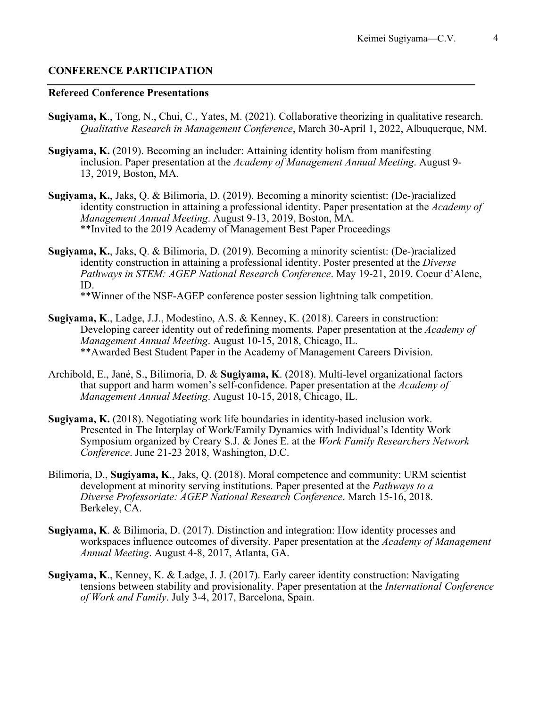### **CONFERENCE PARTICIPATION**

#### **Refereed Conference Presentations**

- **Sugiyama, K**., Tong, N., Chui, C., Yates, M. (2021). Collaborative theorizing in qualitative research. *Qualitative Research in Management Conference*, March 30-April 1, 2022, Albuquerque, NM.
- **Sugiyama, K.** (2019). Becoming an includer: Attaining identity holism from manifesting inclusion. Paper presentation at the *Academy of Management Annual Meeting*. August 9- 13, 2019, Boston, MA.
- **Sugiyama, K.**, Jaks, Q. & Bilimoria, D. (2019). Becoming a minority scientist: (De-)racialized identity construction in attaining a professional identity. Paper presentation at the *Academy of Management Annual Meeting*. August 9-13, 2019, Boston, MA. \*\*Invited to the 2019 Academy of Management Best Paper Proceedings
- **Sugiyama, K.**, Jaks, Q. & Bilimoria, D. (2019). Becoming a minority scientist: (De-)racialized identity construction in attaining a professional identity. Poster presented at the *Diverse Pathways in STEM: AGEP National Research Conference*. May 19-21, 2019. Coeur d'Alene, ID.

\*\*Winner of the NSF-AGEP conference poster session lightning talk competition.

- **Sugiyama, K**., Ladge, J.J., Modestino, A.S. & Kenney, K. (2018). Careers in construction: Developing career identity out of redefining moments. Paper presentation at the *Academy of Management Annual Meeting*. August 10-15, 2018, Chicago, IL. \*\*Awarded Best Student Paper in the Academy of Management Careers Division.
- Archibold, E., Jané, S., Bilimoria, D. & **Sugiyama, K**. (2018). Multi-level organizational factors that support and harm women's self-confidence. Paper presentation at the *Academy of Management Annual Meeting*. August 10-15, 2018, Chicago, IL.
- **Sugiyama, K.** (2018). Negotiating work life boundaries in identity-based inclusion work. Presented in The Interplay of Work/Family Dynamics with Individual's Identity Work Symposium organized by Creary S.J. & Jones E. at the *Work Family Researchers Network Conference*. June 21-23 2018, Washington, D.C.
- Bilimoria, D., **Sugiyama, K**., Jaks, Q. (2018). Moral competence and community: URM scientist development at minority serving institutions. Paper presented at the *Pathways to a Diverse Professoriate: AGEP National Research Conference*. March 15-16, 2018. Berkeley, CA.
- **Sugiyama, K**. & Bilimoria, D. (2017). Distinction and integration: How identity processes and workspaces influence outcomes of diversity. Paper presentation at the *Academy of Management Annual Meeting*. August 4-8, 2017, Atlanta, GA.
- **Sugiyama, K**., Kenney, K. & Ladge, J. J. (2017). Early career identity construction: Navigating tensions between stability and provisionality. Paper presentation at the *International Conference of Work and Family*. July 3-4, 2017, Barcelona, Spain.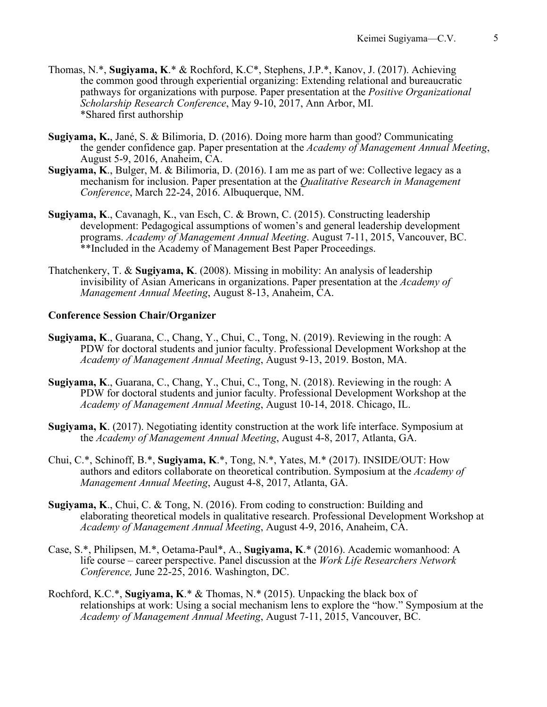- Thomas, N.\*, **Sugiyama, K**.\* & Rochford, K.C\*, Stephens, J.P.\*, Kanov, J. (2017). Achieving the common good through experiential organizing: Extending relational and bureaucratic pathways for organizations with purpose. Paper presentation at the *Positive Organizational Scholarship Research Conference*, May 9-10, 2017, Ann Arbor, MI. \*Shared first authorship
- **Sugiyama, K.**, Jané, S. & Bilimoria, D. (2016). Doing more harm than good? Communicating the gender confidence gap. Paper presentation at the *Academy of Management Annual Meeting*, August 5-9, 2016, Anaheim, CA.
- **Sugiyama, K**., Bulger, M. & Bilimoria, D. (2016). I am me as part of we: Collective legacy as a mechanism for inclusion. Paper presentation at the *Qualitative Research in Management Conference*, March 22-24, 2016. Albuquerque, NM.
- **Sugiyama, K**., Cavanagh, K., van Esch, C. & Brown, C. (2015). Constructing leadership development: Pedagogical assumptions of women's and general leadership development programs. *Academy of Management Annual Meeting*. August 7-11, 2015, Vancouver, BC. \*\*Included in the Academy of Management Best Paper Proceedings.
- Thatchenkery, T. & **Sugiyama, K**. (2008). Missing in mobility: An analysis of leadership invisibility of Asian Americans in organizations. Paper presentation at the *Academy of Management Annual Meeting*, August 8-13, Anaheim, CA.

#### **Conference Session Chair/Organizer**

- **Sugiyama, K**., Guarana, C., Chang, Y., Chui, C., Tong, N. (2019). Reviewing in the rough: A PDW for doctoral students and junior faculty. Professional Development Workshop at the *Academy of Management Annual Meeting*, August 9-13, 2019. Boston, MA.
- **Sugiyama, K**., Guarana, C., Chang, Y., Chui, C., Tong, N. (2018). Reviewing in the rough: A PDW for doctoral students and junior faculty. Professional Development Workshop at the *Academy of Management Annual Meeting*, August 10-14, 2018. Chicago, IL.
- **Sugiyama, K**. (2017). Negotiating identity construction at the work life interface. Symposium at the *Academy of Management Annual Meeting*, August 4-8, 2017, Atlanta, GA.
- Chui, C.\*, Schinoff, B.\*, **Sugiyama, K**.\*, Tong, N.\*, Yates, M.\* (2017). INSIDE/OUT: How authors and editors collaborate on theoretical contribution. Symposium at the *Academy of Management Annual Meeting*, August 4-8, 2017, Atlanta, GA.
- **Sugiyama, K**., Chui, C. & Tong, N. (2016). From coding to construction: Building and elaborating theoretical models in qualitative research. Professional Development Workshop at *Academy of Management Annual Meeting*, August 4-9, 2016, Anaheim, CA.
- Case, S.\*, Philipsen, M.\*, Oetama-Paul\*, A., **Sugiyama, K**.\* (2016). Academic womanhood: A life course – career perspective. Panel discussion at the *Work Life Researchers Network Conference,* June 22-25, 2016. Washington, DC.
- Rochford, K.C.\*, **Sugiyama, K**.\* & Thomas, N.\* (2015). Unpacking the black box of relationships at work: Using a social mechanism lens to explore the "how." Symposium at the *Academy of Management Annual Meeting*, August 7-11, 2015, Vancouver, BC.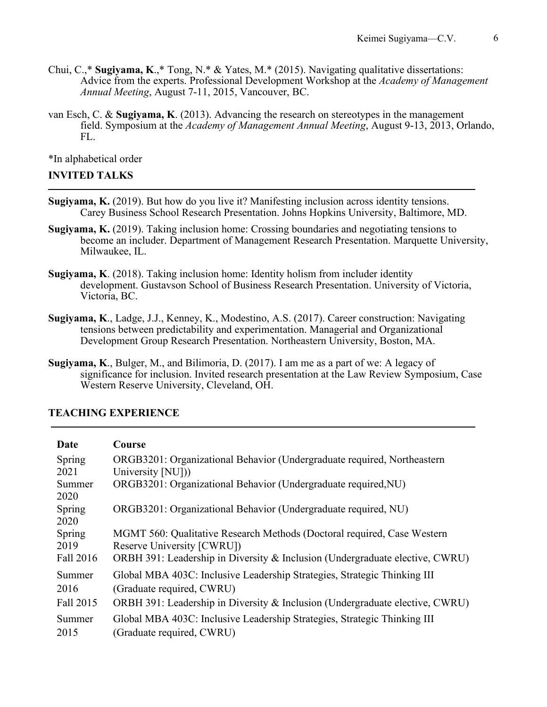- Chui, C.,\* **Sugiyama, K**.,\* Tong, N.\* & Yates, M.\* (2015). Navigating qualitative dissertations: Advice from the experts. Professional Development Workshop at the *Academy of Management Annual Meeting*, August 7-11, 2015, Vancouver, BC.
- van Esch, C. & **Sugiyama, K**. (2013). Advancing the research on stereotypes in the management field. Symposium at the *Academy of Management Annual Meeting*, August 9-13, 2013, Orlando, FL.

\*In alphabetical order

### **INVITED TALKS**

- **Sugiyama, K.** (2019). But how do you live it? Manifesting inclusion across identity tensions. Carey Business School Research Presentation. Johns Hopkins University, Baltimore, MD.
- **Sugiyama, K.** (2019). Taking inclusion home: Crossing boundaries and negotiating tensions to become an includer. Department of Management Research Presentation. Marquette University, Milwaukee, IL.
- **Sugiyama, K**. (2018). Taking inclusion home: Identity holism from includer identity development. Gustavson School of Business Research Presentation. University of Victoria, Victoria, BC.
- **Sugiyama, K**., Ladge, J.J., Kenney, K., Modestino, A.S. (2017). Career construction: Navigating tensions between predictability and experimentation. Managerial and Organizational Development Group Research Presentation. Northeastern University, Boston, MA.
- **Sugiyama, K**., Bulger, M., and Bilimoria, D. (2017). I am me as a part of we: A legacy of significance for inclusion. Invited research presentation at the Law Review Symposium, Case Western Reserve University, Cleveland, OH.

# **TEACHING EXPERIENCE**

| Date           | Course                                                                                                |
|----------------|-------------------------------------------------------------------------------------------------------|
| Spring         | ORGB3201: Organizational Behavior (Undergraduate required, Northeastern                               |
| 2021           | University [NU])                                                                                      |
| Summer<br>2020 | ORGB3201: Organizational Behavior (Undergraduate required, NU)                                        |
| Spring<br>2020 | ORGB3201: Organizational Behavior (Undergraduate required, NU)                                        |
| Spring<br>2019 | MGMT 560: Qualitative Research Methods (Doctoral required, Case Western<br>Reserve University [CWRU]) |
| Fall 2016      | ORBH 391: Leadership in Diversity & Inclusion (Undergraduate elective, CWRU)                          |
| Summer<br>2016 | Global MBA 403C: Inclusive Leadership Strategies, Strategic Thinking III<br>(Graduate required, CWRU) |
| Fall 2015      | ORBH 391: Leadership in Diversity & Inclusion (Undergraduate elective, CWRU)                          |
| Summer<br>2015 | Global MBA 403C: Inclusive Leadership Strategies, Strategic Thinking III<br>(Graduate required, CWRU) |